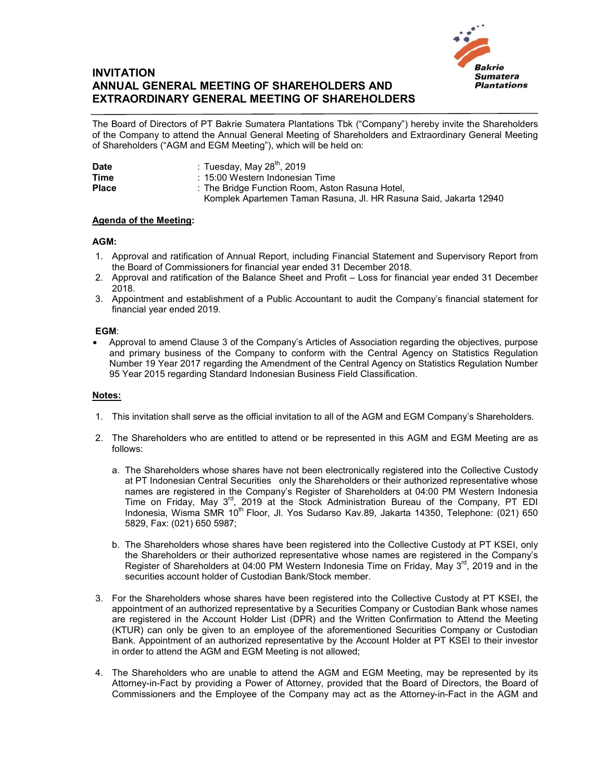

# **INVITATION ANNUAL GENERAL MEETING OF SHAREHOLDERS AND EXTRAORDINARY GENERAL MEETING OF SHAREHOLDERS**

The Board of Directors of PT Bakrie Sumatera Plantations Tbk ("Company") hereby invite the Shareholders of the Company to attend the Annual General Meeting of Shareholders and Extraordinary General Meeting of Shareholders ("AGM and EGM Meeting"), which will be held on:

| <b>Date</b>  | : Tuesday, May 28 $^{\text{th}}$ , 2019                           |
|--------------|-------------------------------------------------------------------|
| <b>Time</b>  | : 15:00 Western Indonesian Time                                   |
| <b>Place</b> | : The Bridge Function Room, Aston Rasuna Hotel,                   |
|              | Komplek Apartemen Taman Rasuna, Jl. HR Rasuna Said, Jakarta 12940 |

## **Agenda of the Meeting:**

#### **AGM:**

- 1. Approval and ratification of Annual Report, including Financial Statement and Supervisory Report from the Board of Commissioners for financial year ended 31 December 2018.
- 2. Approval and ratification of the Balance Sheet and Profit Loss for financial year ended 31 December 2018.
- 3. Appointment and establishment of a Public Accountant to audit the Company's financial statement for financial year ended 2019.

#### **EGM**:

 Approval to amend Clause 3 of the Company's Articles of Association regarding the objectives, purpose and primary business of the Company to conform with the Central Agency on Statistics Regulation Number 19 Year 2017 regarding the Amendment of the Central Agency on Statistics Regulation Number 95 Year 2015 regarding Standard Indonesian Business Field Classification.

### **Notes:**

- 1. This invitation shall serve as the official invitation to all of the AGM and EGM Company's Shareholders.
- 2. The Shareholders who are entitled to attend or be represented in this AGM and EGM Meeting are as follows:
	- a. The Shareholders whose shares have not been electronically registered into the Collective Custody at PT Indonesian Central Securities only the Shareholders or their authorized representative whose names are registered in the Company's Register of Shareholders at 04:00 PM Western Indonesia Time on Friday, May 3<sup>rd</sup>, 2019 at the Stock Administration Bureau of the Company, PT EDI Indonesia, Wisma SMR 10<sup>th</sup> Floor, Jl. Yos Sudarso Kav.89, Jakarta 14350, Telephone: (021) 650 5829, Fax: (021) 650 5987;
	- b. The Shareholders whose shares have been registered into the Collective Custody at PT KSEI, only the Shareholders or their authorized representative whose names are registered in the Company's Register of Shareholders at 04:00 PM Western Indonesia Time on Friday, May 3<sup>rd</sup>, 2019 and in the securities account holder of Custodian Bank/Stock member.
- 3. For the Shareholders whose shares have been registered into the Collective Custody at PT KSEI, the appointment of an authorized representative by a Securities Company or Custodian Bank whose names are registered in the Account Holder List (DPR) and the Written Confirmation to Attend the Meeting (KTUR) can only be given to an employee of the aforementioned Securities Company or Custodian Bank. Appointment of an authorized representative by the Account Holder at PT KSEI to their investor in order to attend the AGM and EGM Meeting is not allowed;
- 4. The Shareholders who are unable to attend the AGM and EGM Meeting, may be represented by its Attorney-in-Fact by providing a Power of Attorney, provided that the Board of Directors, the Board of Commissioners and the Employee of the Company may act as the Attorney-in-Fact in the AGM and